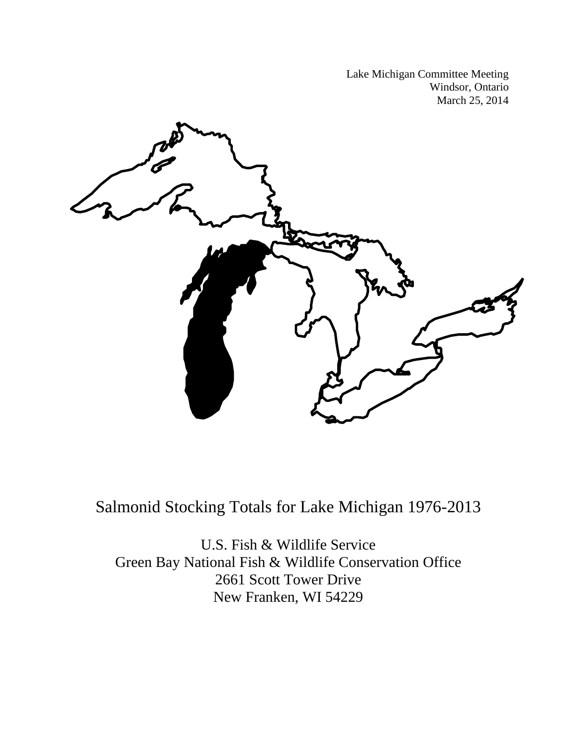Lake Michigan Committee Meeting Windsor, Ontario March 25, 2014



Salmonid Stocking Totals for Lake Michigan 1976-2013

U.S. Fish & Wildlife Service Green Bay National Fish & Wildlife Conservation Office 2661 Scott Tower Drive New Franken, WI 54229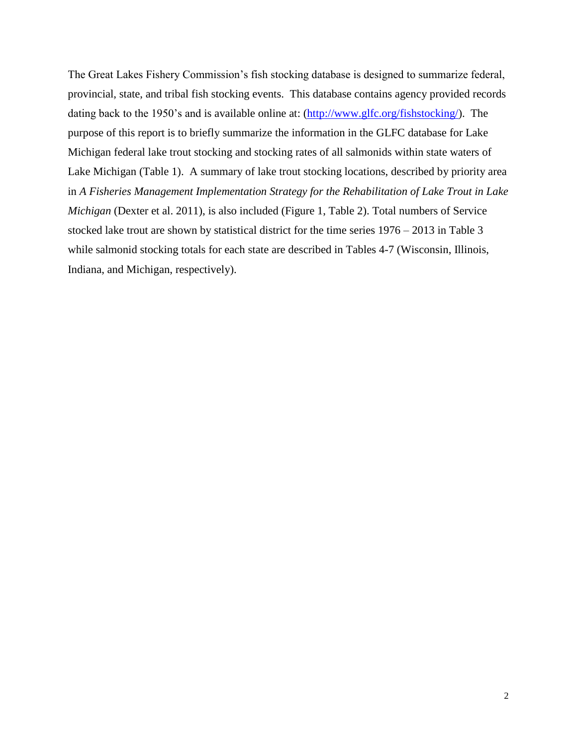The Great Lakes Fishery Commission's fish stocking database is designed to summarize federal, provincial, state, and tribal fish stocking events. This database contains agency provided records dating back to the 1950's and is available online at: [\(http://www.glfc.org/fishstocking/\)](http://www.glfc.org/fishstocking/). The purpose of this report is to briefly summarize the information in the GLFC database for Lake Michigan federal lake trout stocking and stocking rates of all salmonids within state waters of Lake Michigan (Table 1). A summary of lake trout stocking locations, described by priority area in *A Fisheries Management Implementation Strategy for the Rehabilitation of Lake Trout in Lake Michigan* (Dexter et al. 2011), is also included (Figure 1, Table 2). Total numbers of Service stocked lake trout are shown by statistical district for the time series 1976 – 2013 in Table 3 while salmonid stocking totals for each state are described in Tables 4-7 (Wisconsin, Illinois, Indiana, and Michigan, respectively).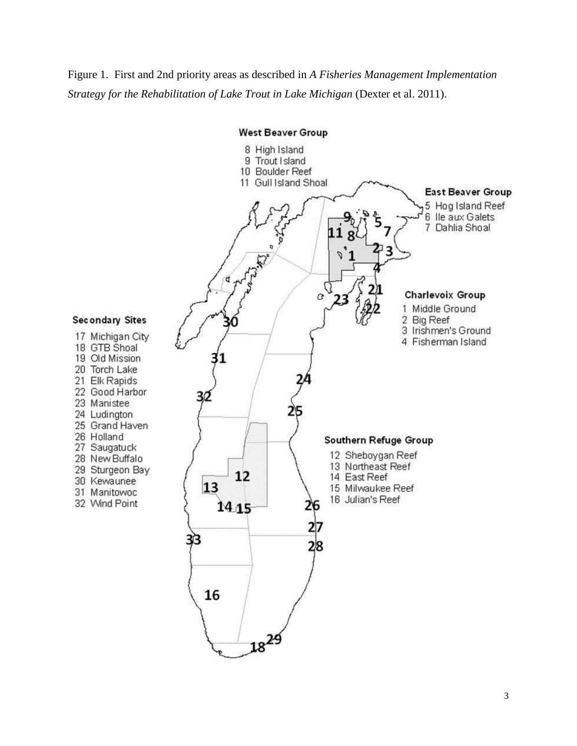## Figure 1. First and 2nd priority areas as described in *A Fisheries Management Implementation Strategy for the Rehabilitation of Lake Trout in Lake Michigan* (Dexter et al. 2011).

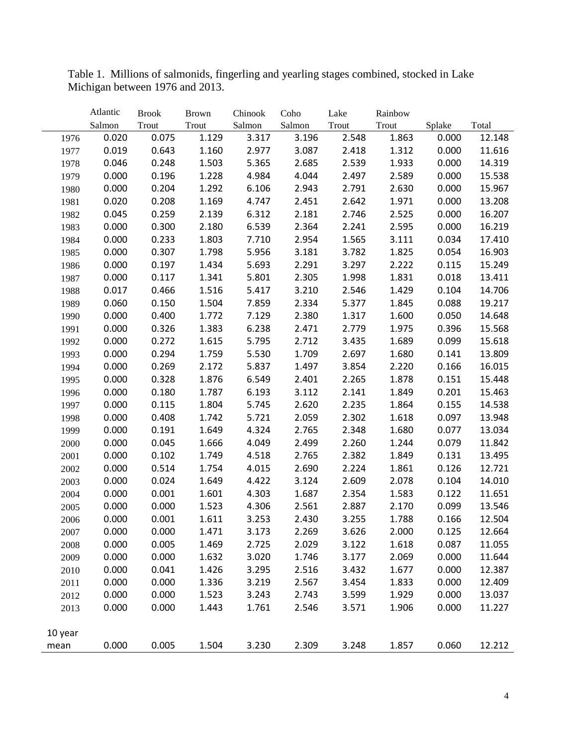|         | Atlantic | <b>Brook</b> | <b>Brown</b> | Chinook | Coho   | Lake  | Rainbow |        |        |
|---------|----------|--------------|--------------|---------|--------|-------|---------|--------|--------|
|         | Salmon   | Trout        | Trout        | Salmon  | Salmon | Trout | Trout   | Splake | Total  |
| 1976    | 0.020    | 0.075        | 1.129        | 3.317   | 3.196  | 2.548 | 1.863   | 0.000  | 12.148 |
| 1977    | 0.019    | 0.643        | 1.160        | 2.977   | 3.087  | 2.418 | 1.312   | 0.000  | 11.616 |
| 1978    | 0.046    | 0.248        | 1.503        | 5.365   | 2.685  | 2.539 | 1.933   | 0.000  | 14.319 |
| 1979    | 0.000    | 0.196        | 1.228        | 4.984   | 4.044  | 2.497 | 2.589   | 0.000  | 15.538 |
| 1980    | 0.000    | 0.204        | 1.292        | 6.106   | 2.943  | 2.791 | 2.630   | 0.000  | 15.967 |
| 1981    | 0.020    | 0.208        | 1.169        | 4.747   | 2.451  | 2.642 | 1.971   | 0.000  | 13.208 |
| 1982    | 0.045    | 0.259        | 2.139        | 6.312   | 2.181  | 2.746 | 2.525   | 0.000  | 16.207 |
| 1983    | 0.000    | 0.300        | 2.180        | 6.539   | 2.364  | 2.241 | 2.595   | 0.000  | 16.219 |
| 1984    | 0.000    | 0.233        | 1.803        | 7.710   | 2.954  | 1.565 | 3.111   | 0.034  | 17.410 |
| 1985    | 0.000    | 0.307        | 1.798        | 5.956   | 3.181  | 3.782 | 1.825   | 0.054  | 16.903 |
| 1986    | 0.000    | 0.197        | 1.434        | 5.693   | 2.291  | 3.297 | 2.222   | 0.115  | 15.249 |
| 1987    | 0.000    | 0.117        | 1.341        | 5.801   | 2.305  | 1.998 | 1.831   | 0.018  | 13.411 |
| 1988    | 0.017    | 0.466        | 1.516        | 5.417   | 3.210  | 2.546 | 1.429   | 0.104  | 14.706 |
| 1989    | 0.060    | 0.150        | 1.504        | 7.859   | 2.334  | 5.377 | 1.845   | 0.088  | 19.217 |
| 1990    | 0.000    | 0.400        | 1.772        | 7.129   | 2.380  | 1.317 | 1.600   | 0.050  | 14.648 |
| 1991    | 0.000    | 0.326        | 1.383        | 6.238   | 2.471  | 2.779 | 1.975   | 0.396  | 15.568 |
| 1992    | 0.000    | 0.272        | 1.615        | 5.795   | 2.712  | 3.435 | 1.689   | 0.099  | 15.618 |
| 1993    | 0.000    | 0.294        | 1.759        | 5.530   | 1.709  | 2.697 | 1.680   | 0.141  | 13.809 |
| 1994    | 0.000    | 0.269        | 2.172        | 5.837   | 1.497  | 3.854 | 2.220   | 0.166  | 16.015 |
| 1995    | 0.000    | 0.328        | 1.876        | 6.549   | 2.401  | 2.265 | 1.878   | 0.151  | 15.448 |
| 1996    | 0.000    | 0.180        | 1.787        | 6.193   | 3.112  | 2.141 | 1.849   | 0.201  | 15.463 |
| 1997    | 0.000    | 0.115        | 1.804        | 5.745   | 2.620  | 2.235 | 1.864   | 0.155  | 14.538 |
| 1998    | 0.000    | 0.408        | 1.742        | 5.721   | 2.059  | 2.302 | 1.618   | 0.097  | 13.948 |
| 1999    | 0.000    | 0.191        | 1.649        | 4.324   | 2.765  | 2.348 | 1.680   | 0.077  | 13.034 |
| 2000    | 0.000    | 0.045        | 1.666        | 4.049   | 2.499  | 2.260 | 1.244   | 0.079  | 11.842 |
| 2001    | 0.000    | 0.102        | 1.749        | 4.518   | 2.765  | 2.382 | 1.849   | 0.131  | 13.495 |
| 2002    | 0.000    | 0.514        | 1.754        | 4.015   | 2.690  | 2.224 | 1.861   | 0.126  | 12.721 |
| 2003    | 0.000    | 0.024        | 1.649        | 4.422   | 3.124  | 2.609 | 2.078   | 0.104  | 14.010 |
| 2004    | 0.000    | 0.001        | 1.601        | 4.303   | 1.687  | 2.354 | 1.583   | 0.122  | 11.651 |
| 2005    | 0.000    | 0.000        | 1.523        | 4.306   | 2.561  | 2.887 | 2.170   | 0.099  | 13.546 |
| 2006    | 0.000    | 0.001        | 1.611        | 3.253   | 2.430  | 3.255 | 1.788   | 0.166  | 12.504 |
| 2007    | 0.000    | 0.000        | 1.471        | 3.173   | 2.269  | 3.626 | 2.000   | 0.125  | 12.664 |
| 2008    | 0.000    | 0.005        | 1.469        | 2.725   | 2.029  | 3.122 | 1.618   | 0.087  | 11.055 |
| 2009    | 0.000    | 0.000        | 1.632        | 3.020   | 1.746  | 3.177 | 2.069   | 0.000  | 11.644 |
| 2010    | 0.000    | 0.041        | 1.426        | 3.295   | 2.516  | 3.432 | 1.677   | 0.000  | 12.387 |
| 2011    | 0.000    | 0.000        | 1.336        | 3.219   | 2.567  | 3.454 | 1.833   | 0.000  | 12.409 |
| 2012    | 0.000    | 0.000        | 1.523        | 3.243   | 2.743  | 3.599 | 1.929   | 0.000  | 13.037 |
| 2013    | 0.000    | 0.000        | 1.443        | 1.761   | 2.546  | 3.571 | 1.906   | 0.000  | 11.227 |
|         |          |              |              |         |        |       |         |        |        |
| 10 year |          |              |              |         |        |       |         |        |        |
| mean    | 0.000    | 0.005        | 1.504        | 3.230   | 2.309  | 3.248 | 1.857   | 0.060  | 12.212 |

Table 1. Millions of salmonids, fingerling and yearling stages combined, stocked in Lake Michigan between 1976 and 2013.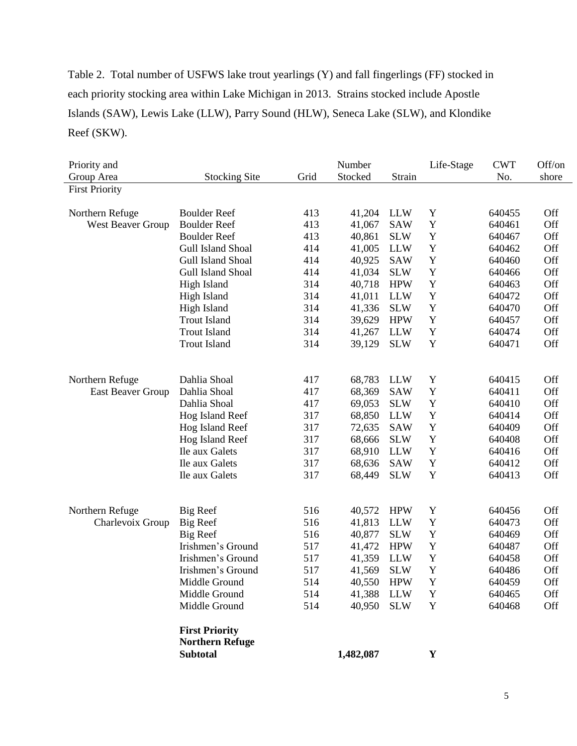Table 2. Total number of USFWS lake trout yearlings (Y) and fall fingerlings (FF) stocked in each priority stocking area within Lake Michigan in 2013. Strains stocked include Apostle Islands (SAW), Lewis Lake (LLW), Parry Sound (HLW), Seneca Lake (SLW), and Klondike Reef (SKW).

| Priority and             |                        |      | Number    |            | Life-Stage  | <b>CWT</b> | Off/on |
|--------------------------|------------------------|------|-----------|------------|-------------|------------|--------|
| Group Area               | <b>Stocking Site</b>   | Grid | Stocked   | Strain     |             | No.        | shore  |
| <b>First Priority</b>    |                        |      |           |            |             |            |        |
|                          |                        |      |           |            |             |            |        |
| Northern Refuge          | <b>Boulder Reef</b>    | 413  | 41,204    | <b>LLW</b> | Y           | 640455     | Off    |
| West Beaver Group        | <b>Boulder Reef</b>    | 413  | 41,067    | <b>SAW</b> | $\mathbf Y$ | 640461     | Off    |
|                          | <b>Boulder Reef</b>    | 413  | 40,861    | <b>SLW</b> | Y           | 640467     | Off    |
|                          | Gull Island Shoal      | 414  | 41,005    | <b>LLW</b> | Y           | 640462     | Off    |
|                          | Gull Island Shoal      | 414  | 40,925    | <b>SAW</b> | $\mathbf Y$ | 640460     | Off    |
|                          | Gull Island Shoal      | 414  | 41,034    | <b>SLW</b> | $\mathbf Y$ | 640466     | Off    |
|                          | High Island            | 314  | 40,718    | <b>HPW</b> | $\mathbf Y$ | 640463     | Off    |
|                          | High Island            | 314  | 41,011    | <b>LLW</b> | $\mathbf Y$ | 640472     | Off    |
|                          | High Island            | 314  | 41,336    | <b>SLW</b> | Y           | 640470     | Off    |
|                          | <b>Trout Island</b>    | 314  | 39,629    | <b>HPW</b> | $\mathbf Y$ | 640457     | Off    |
|                          | <b>Trout Island</b>    | 314  | 41,267    | <b>LLW</b> | $\mathbf Y$ | 640474     | Off    |
|                          | <b>Trout Island</b>    | 314  | 39,129    | <b>SLW</b> | Y           | 640471     | Off    |
|                          |                        |      |           |            |             |            |        |
|                          |                        |      |           |            |             |            |        |
| Northern Refuge          | Dahlia Shoal           | 417  | 68,783    | <b>LLW</b> | Y           | 640415     | Off    |
| <b>East Beaver Group</b> | Dahlia Shoal           | 417  | 68,369    | <b>SAW</b> | Y           | 640411     | Off    |
|                          | Dahlia Shoal           | 417  | 69,053    | <b>SLW</b> | $\mathbf Y$ | 640410     | Off    |
|                          | Hog Island Reef        | 317  | 68,850    | <b>LLW</b> | $\mathbf Y$ | 640414     | Off    |
|                          | Hog Island Reef        | 317  | 72,635    | <b>SAW</b> | $\mathbf Y$ | 640409     | Off    |
|                          | Hog Island Reef        | 317  | 68,666    | <b>SLW</b> | $\mathbf Y$ | 640408     | Off    |
|                          | Ile aux Galets         | 317  | 68,910    | <b>LLW</b> | $\mathbf Y$ | 640416     | Off    |
|                          | Ile aux Galets         | 317  | 68,636    | <b>SAW</b> | Y           | 640412     | Off    |
|                          | Ile aux Galets         | 317  | 68,449    | <b>SLW</b> | Y           | 640413     | Off    |
|                          |                        |      |           |            |             |            |        |
|                          |                        |      |           |            |             |            |        |
| Northern Refuge          | Big Reef               | 516  | 40,572    | <b>HPW</b> | Y           | 640456     | Off    |
| Charlevoix Group         | <b>Big Reef</b>        | 516  | 41,813    | <b>LLW</b> | Y           | 640473     | Off    |
|                          | Big Reef               | 516  | 40,877    | <b>SLW</b> | Y           | 640469     | Off    |
|                          | Irishmen's Ground      | 517  | 41,472    | <b>HPW</b> | Y           | 640487     | Off    |
|                          | Irishmen's Ground      | 517  | 41,359    | <b>LLW</b> | $\mathbf Y$ | 640458     | Off    |
|                          | Irishmen's Ground      | 517  | 41,569    | <b>SLW</b> | Y           | 640486     | Off    |
|                          | Middle Ground          | 514  | 40,550    | <b>HPW</b> | Y           | 640459     | Off    |
|                          | Middle Ground          | 514  | 41,388    | <b>LLW</b> | $\mathbf Y$ | 640465     | Off    |
|                          | Middle Ground          | 514  | 40,950    | <b>SLW</b> | $\mathbf Y$ | 640468     | Off    |
|                          |                        |      |           |            |             |            |        |
|                          | <b>First Priority</b>  |      |           |            |             |            |        |
|                          | <b>Northern Refuge</b> |      |           |            |             |            |        |
|                          | <b>Subtotal</b>        |      | 1,482,087 |            | $\mathbf Y$ |            |        |
|                          |                        |      |           |            |             |            |        |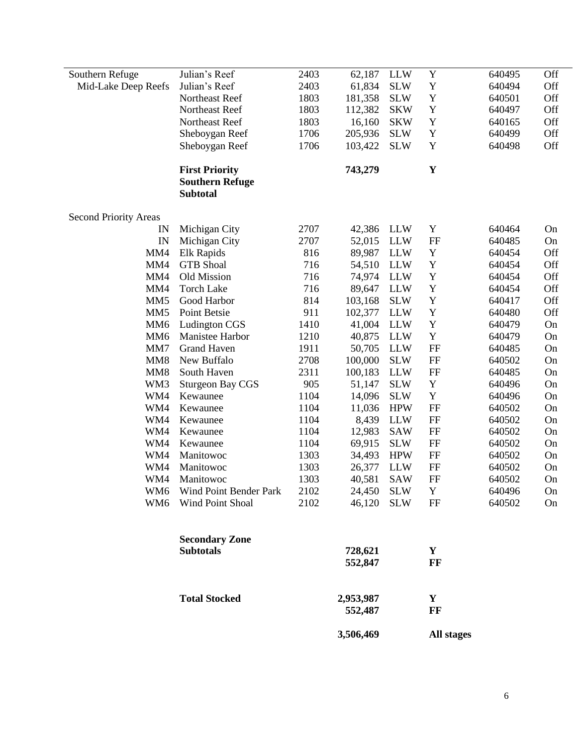| Southern Refuge              | Julian's Reef                             | 2403 | 62,187               | <b>LLW</b> | $\mathbf Y$ | 640495 | Off       |
|------------------------------|-------------------------------------------|------|----------------------|------------|-------------|--------|-----------|
| Mid-Lake Deep Reefs          | Julian's Reef                             | 2403 | 61,834               | <b>SLW</b> | $\mathbf Y$ | 640494 | Off       |
|                              | Northeast Reef                            | 1803 | 181,358              | <b>SLW</b> | $\mathbf Y$ | 640501 | Off       |
|                              | Northeast Reef                            | 1803 | 112,382              | <b>SKW</b> | Y           | 640497 | Off       |
|                              | Northeast Reef                            | 1803 | 16,160               | <b>SKW</b> | Y           | 640165 | Off       |
|                              | Sheboygan Reef                            | 1706 | 205,936              | <b>SLW</b> | Y           | 640499 | Off       |
|                              | Sheboygan Reef                            | 1706 | 103,422              | <b>SLW</b> | $\mathbf Y$ | 640498 | Off       |
|                              | <b>First Priority</b>                     |      | 743,279              |            | $\mathbf Y$ |        |           |
|                              | <b>Southern Refuge</b><br><b>Subtotal</b> |      |                      |            |             |        |           |
| <b>Second Priority Areas</b> |                                           |      |                      |            |             |        |           |
| IN                           | Michigan City                             | 2707 | 42,386               | <b>LLW</b> | Y           | 640464 | On        |
| IN                           | Michigan City                             | 2707 | 52,015               | <b>LLW</b> | FF          | 640485 | On        |
| MM4                          | Elk Rapids                                | 816  | 89,987               | <b>LLW</b> | $\mathbf Y$ | 640454 | Off       |
| MM4                          | <b>GTB</b> Shoal                          | 716  | 54,510               | <b>LLW</b> | $\mathbf Y$ | 640454 | Off       |
| MM4                          | Old Mission                               | 716  | 74,974               | <b>LLW</b> | $\mathbf Y$ | 640454 | Off       |
| MM4                          | <b>Torch Lake</b>                         | 716  | 89,647               | <b>LLW</b> | $\mathbf Y$ | 640454 | Off       |
| MM <sub>5</sub>              | Good Harbor                               | 814  | 103,168              | <b>SLW</b> | $\mathbf Y$ | 640417 | Off       |
| MM <sub>5</sub>              | Point Betsie                              | 911  | 102,377              | <b>LLW</b> | $\mathbf Y$ | 640480 | Off       |
| MM <sub>6</sub>              | Ludington CGS                             | 1410 | 41,004               | <b>LLW</b> | $\mathbf Y$ | 640479 | On        |
| MM <sub>6</sub>              | Manistee Harbor                           | 1210 | 40,875               | <b>LLW</b> | Y           | 640479 | On        |
| MM7                          | <b>Grand Haven</b>                        | 1911 | 50,705               | <b>LLW</b> | $\rm FF$    | 640485 | On        |
| MM <sub>8</sub>              | New Buffalo                               | 2708 | 100,000              | <b>SLW</b> | FF          | 640502 | On        |
| MM <sub>8</sub>              | South Haven                               | 2311 | 100,183              | <b>LLW</b> | FF          | 640485 | On        |
| WM3                          | <b>Sturgeon Bay CGS</b>                   | 905  | 51,147               | <b>SLW</b> | $\mathbf Y$ | 640496 | On        |
| WM4                          | Kewaunee                                  | 1104 | 14,096               | <b>SLW</b> | $\mathbf Y$ | 640496 | On        |
| WM4                          | Kewaunee                                  | 1104 | 11,036               | <b>HPW</b> | $\rm FF$    | 640502 | On        |
| WM4                          | Kewaunee                                  | 1104 | 8,439                | <b>LLW</b> | FF          | 640502 | On        |
| WM4                          | Kewaunee                                  | 1104 | 12,983               | <b>SAW</b> | $\rm FF$    | 640502 | On        |
| WM4                          | Kewaunee                                  | 1104 | 69,915               | <b>SLW</b> | FF          | 640502 | On        |
| WM4                          | Manitowoc                                 | 1303 | 34,493               | <b>HPW</b> | FF          | 640502 | On        |
| WM4                          | Manitowoc                                 | 1303 | 26,377               | <b>LLW</b> | FF          | 640502 | On        |
| WM4                          | Manitowoc                                 | 1303 | 40,581               | <b>SAW</b> | FF          | 640502 | On        |
|                              | WM6 Wind Point Bender Park                | 2102 | 24,450               | <b>SLW</b> | $\mathbf Y$ | 640496 | <b>On</b> |
| WM <sub>6</sub>              | Wind Point Shoal                          | 2102 | 46,120               | <b>SLW</b> | FF          | 640502 | On        |
|                              | <b>Secondary Zone</b>                     |      |                      |            |             |        |           |
|                              | <b>Subtotals</b>                          |      | 728,621              |            | Y           |        |           |
|                              |                                           |      | 552,847              |            | FF          |        |           |
|                              |                                           |      |                      |            |             |        |           |
|                              | <b>Total Stocked</b>                      |      | 2,953,987<br>552,487 |            | Y<br>FF     |        |           |
|                              |                                           |      | 3,506,469            |            | All stages  |        |           |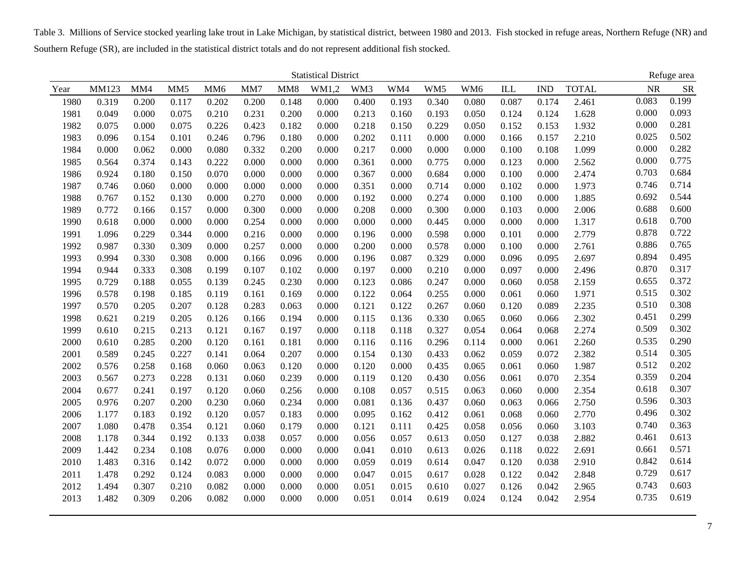Table 3. Millions of Service stocked yearling lake trout in Lake Michigan, by statistical district, between 1980 and 2013. Fish stocked in refuge areas, Northern Refuge (NR) and Southern Refuge (SR), are included in the statistical district totals and do not represent additional fish stocked.

|      |       |       |                 |                 |       |                 | <b>Statistical District</b> |       |       |       |                 |       |                           |              |           | Refuge area |
|------|-------|-------|-----------------|-----------------|-------|-----------------|-----------------------------|-------|-------|-------|-----------------|-------|---------------------------|--------------|-----------|-------------|
| Year | MM123 | MM4   | MM <sub>5</sub> | MM <sub>6</sub> | MM7   | MM <sub>8</sub> | WM1,2                       | WM3   | WM4   | WM5   | WM <sub>6</sub> | ILL   | $\ensuremath{\text{IND}}$ | <b>TOTAL</b> | <b>NR</b> | <b>SR</b>   |
| 1980 | 0.319 | 0.200 | 0.117           | 0.202           | 0.200 | 0.148           | 0.000                       | 0.400 | 0.193 | 0.340 | 0.080           | 0.087 | 0.174                     | 2.461        | 0.083     | 0.199       |
| 1981 | 0.049 | 0.000 | 0.075           | 0.210           | 0.231 | 0.200           | 0.000                       | 0.213 | 0.160 | 0.193 | 0.050           | 0.124 | 0.124                     | 1.628        | 0.000     | 0.093       |
| 1982 | 0.075 | 0.000 | 0.075           | 0.226           | 0.423 | 0.182           | 0.000                       | 0.218 | 0.150 | 0.229 | 0.050           | 0.152 | 0.153                     | 1.932        | 0.000     | 0.281       |
| 1983 | 0.096 | 0.154 | 0.101           | 0.246           | 0.796 | 0.180           | 0.000                       | 0.202 | 0.111 | 0.000 | 0.000           | 0.166 | 0.157                     | 2.210        | 0.025     | 0.502       |
| 1984 | 0.000 | 0.062 | 0.000           | 0.080           | 0.332 | 0.200           | 0.000                       | 0.217 | 0.000 | 0.000 | 0.000           | 0.100 | 0.108                     | 1.099        | 0.000     | 0.282       |
| 1985 | 0.564 | 0.374 | 0.143           | 0.222           | 0.000 | 0.000           | 0.000                       | 0.361 | 0.000 | 0.775 | 0.000           | 0.123 | 0.000                     | 2.562        | 0.000     | 0.775       |
| 1986 | 0.924 | 0.180 | 0.150           | 0.070           | 0.000 | 0.000           | 0.000                       | 0.367 | 0.000 | 0.684 | 0.000           | 0.100 | 0.000                     | 2.474        | 0.703     | 0.684       |
| 1987 | 0.746 | 0.060 | 0.000           | 0.000           | 0.000 | 0.000           | 0.000                       | 0.351 | 0.000 | 0.714 | 0.000           | 0.102 | 0.000                     | 1.973        | 0.746     | 0.714       |
| 1988 | 0.767 | 0.152 | 0.130           | 0.000           | 0.270 | 0.000           | 0.000                       | 0.192 | 0.000 | 0.274 | 0.000           | 0.100 | 0.000                     | 1.885        | 0.692     | 0.544       |
| 1989 | 0.772 | 0.166 | 0.157           | 0.000           | 0.300 | 0.000           | 0.000                       | 0.208 | 0.000 | 0.300 | 0.000           | 0.103 | 0.000                     | 2.006        | 0.688     | 0.600       |
| 1990 | 0.618 | 0.000 | 0.000           | 0.000           | 0.254 | 0.000           | 0.000                       | 0.000 | 0.000 | 0.445 | 0.000           | 0.000 | 0.000                     | 1.317        | 0.618     | 0.700       |
| 1991 | 1.096 | 0.229 | 0.344           | 0.000           | 0.216 | 0.000           | 0.000                       | 0.196 | 0.000 | 0.598 | 0.000           | 0.101 | 0.000                     | 2.779        | 0.878     | 0.722       |
| 1992 | 0.987 | 0.330 | 0.309           | 0.000           | 0.257 | 0.000           | 0.000                       | 0.200 | 0.000 | 0.578 | 0.000           | 0.100 | 0.000                     | 2.761        | 0.886     | 0.765       |
| 1993 | 0.994 | 0.330 | 0.308           | 0.000           | 0.166 | 0.096           | 0.000                       | 0.196 | 0.087 | 0.329 | 0.000           | 0.096 | 0.095                     | 2.697        | 0.894     | 0.495       |
| 1994 | 0.944 | 0.333 | 0.308           | 0.199           | 0.107 | 0.102           | 0.000                       | 0.197 | 0.000 | 0.210 | 0.000           | 0.097 | 0.000                     | 2.496        | 0.870     | 0.317       |
| 1995 | 0.729 | 0.188 | 0.055           | 0.139           | 0.245 | 0.230           | 0.000                       | 0.123 | 0.086 | 0.247 | 0.000           | 0.060 | 0.058                     | 2.159        | 0.655     | 0.372       |
| 1996 | 0.578 | 0.198 | 0.185           | 0.119           | 0.161 | 0.169           | 0.000                       | 0.122 | 0.064 | 0.255 | 0.000           | 0.061 | 0.060                     | 1.971        | 0.515     | 0.302       |
| 1997 | 0.570 | 0.205 | 0.207           | 0.128           | 0.283 | 0.063           | 0.000                       | 0.121 | 0.122 | 0.267 | 0.060           | 0.120 | 0.089                     | 2.235        | 0.510     | 0.308       |
| 1998 | 0.621 | 0.219 | 0.205           | 0.126           | 0.166 | 0.194           | 0.000                       | 0.115 | 0.136 | 0.330 | 0.065           | 0.060 | 0.066                     | 2.302        | 0.451     | 0.299       |
| 1999 | 0.610 | 0.215 | 0.213           | 0.121           | 0.167 | 0.197           | 0.000                       | 0.118 | 0.118 | 0.327 | 0.054           | 0.064 | 0.068                     | 2.274        | 0.509     | 0.302       |
| 2000 | 0.610 | 0.285 | 0.200           | 0.120           | 0.161 | 0.181           | 0.000                       | 0.116 | 0.116 | 0.296 | 0.114           | 0.000 | 0.061                     | 2.260        | 0.535     | 0.290       |
| 2001 | 0.589 | 0.245 | 0.227           | 0.141           | 0.064 | 0.207           | 0.000                       | 0.154 | 0.130 | 0.433 | 0.062           | 0.059 | 0.072                     | 2.382        | 0.514     | 0.305       |
| 2002 | 0.576 | 0.258 | 0.168           | 0.060           | 0.063 | 0.120           | 0.000                       | 0.120 | 0.000 | 0.435 | 0.065           | 0.061 | 0.060                     | 1.987        | 0.512     | 0.202       |
| 2003 | 0.567 | 0.273 | 0.228           | 0.131           | 0.060 | 0.239           | 0.000                       | 0.119 | 0.120 | 0.430 | 0.056           | 0.061 | 0.070                     | 2.354        | 0.359     | 0.204       |
| 2004 | 0.677 | 0.241 | 0.197           | 0.120           | 0.060 | 0.256           | 0.000                       | 0.108 | 0.057 | 0.515 | 0.063           | 0.060 | 0.000                     | 2.354        | 0.618     | 0.307       |
| 2005 | 0.976 | 0.207 | 0.200           | 0.230           | 0.060 | 0.234           | 0.000                       | 0.081 | 0.136 | 0.437 | 0.060           | 0.063 | 0.066                     | 2.750        | 0.596     | 0.303       |
| 2006 | 1.177 | 0.183 | 0.192           | 0.120           | 0.057 | 0.183           | 0.000                       | 0.095 | 0.162 | 0.412 | 0.061           | 0.068 | 0.060                     | 2.770        | 0.496     | 0.302       |
| 2007 | 1.080 | 0.478 | 0.354           | 0.121           | 0.060 | 0.179           | 0.000                       | 0.121 | 0.111 | 0.425 | 0.058           | 0.056 | 0.060                     | 3.103        | 0.740     | 0.363       |
| 2008 | 1.178 | 0.344 | 0.192           | 0.133           | 0.038 | 0.057           | 0.000                       | 0.056 | 0.057 | 0.613 | 0.050           | 0.127 | 0.038                     | 2.882        | 0.461     | 0.613       |
| 2009 | 1.442 | 0.234 | 0.108           | 0.076           | 0.000 | 0.000           | 0.000                       | 0.041 | 0.010 | 0.613 | 0.026           | 0.118 | 0.022                     | 2.691        | 0.661     | 0.571       |
| 2010 | 1.483 | 0.316 | 0.142           | 0.072           | 0.000 | 0.000           | 0.000                       | 0.059 | 0.019 | 0.614 | 0.047           | 0.120 | 0.038                     | 2.910        | 0.842     | 0.614       |
| 2011 | 1.478 | 0.292 | 0.124           | 0.083           | 0.000 | 0.000           | 0.000                       | 0.047 | 0.015 | 0.617 | 0.028           | 0.122 | 0.042                     | 2.848        | 0.729     | 0.617       |
| 2012 | 1.494 | 0.307 | 0.210           | 0.082           | 0.000 | 0.000           | 0.000                       | 0.051 | 0.015 | 0.610 | 0.027           | 0.126 | 0.042                     | 2.965        | 0.743     | 0.603       |
| 2013 | 1.482 | 0.309 | 0.206           | 0.082           | 0.000 | 0.000           | 0.000                       | 0.051 | 0.014 | 0.619 | 0.024           | 0.124 | 0.042                     | 2.954        | 0.735     | 0.619       |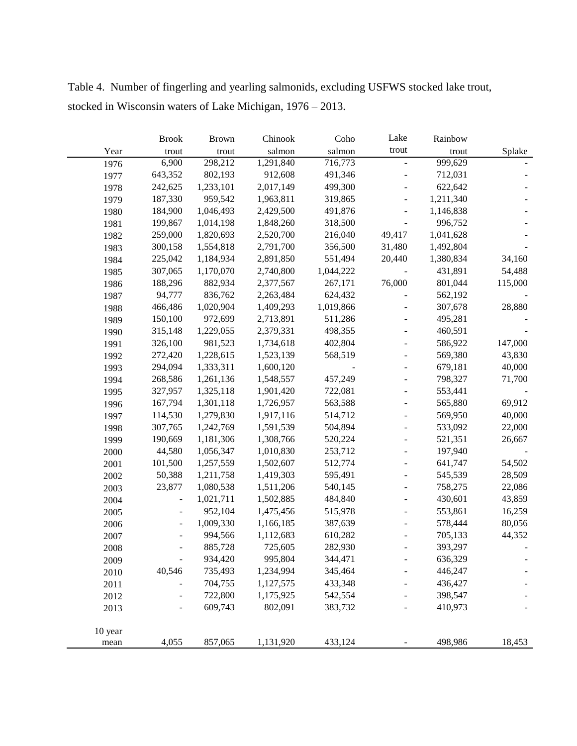|         | <b>Brook</b> | <b>Brown</b> | Chinook   | Coho      | Lake                         | Rainbow   |         |
|---------|--------------|--------------|-----------|-----------|------------------------------|-----------|---------|
| Year    | trout        | trout        | salmon    | salmon    | trout                        | trout     | Splake  |
| 1976    | 6,900        | 298,212      | 1,291,840 | 716,773   |                              | 999,629   |         |
| 1977    | 643,352      | 802,193      | 912,608   | 491,346   |                              | 712,031   |         |
| 1978    | 242,625      | 1,233,101    | 2,017,149 | 499,300   |                              | 622,642   |         |
| 1979    | 187,330      | 959,542      | 1,963,811 | 319,865   |                              | 1,211,340 |         |
| 1980    | 184,900      | 1,046,493    | 2,429,500 | 491,876   | ÷,                           | 1,146,838 |         |
| 1981    | 199,867      | 1,014,198    | 1,848,260 | 318,500   | $\qquad \qquad -$            | 996,752   |         |
| 1982    | 259,000      | 1,820,693    | 2,520,700 | 216,040   | 49,417                       | 1,041,628 |         |
| 1983    | 300,158      | 1,554,818    | 2,791,700 | 356,500   | 31,480                       | 1,492,804 |         |
| 1984    | 225,042      | 1,184,934    | 2,891,850 | 551,494   | 20,440                       | 1,380,834 | 34,160  |
| 1985    | 307,065      | 1,170,070    | 2,740,800 | 1,044,222 |                              | 431,891   | 54,488  |
| 1986    | 188,296      | 882,934      | 2,377,567 | 267,171   | 76,000                       | 801,044   | 115,000 |
| 1987    | 94,777       | 836,762      | 2,263,484 | 624,432   |                              | 562,192   |         |
| 1988    | 466,486      | 1,020,904    | 1,409,293 | 1,019,866 |                              | 307,678   | 28,880  |
| 1989    | 150,100      | 972,699      | 2,713,891 | 511,286   |                              | 495,281   |         |
| 1990    | 315,148      | 1,229,055    | 2,379,331 | 498,355   |                              | 460,591   |         |
| 1991    | 326,100      | 981,523      | 1,734,618 | 402,804   |                              | 586,922   | 147,000 |
| 1992    | 272,420      | 1,228,615    | 1,523,139 | 568,519   |                              | 569,380   | 43,830  |
| 1993    | 294,094      | 1,333,311    | 1,600,120 |           |                              | 679,181   | 40,000  |
| 1994    | 268,586      | 1,261,136    | 1,548,557 | 457,249   |                              | 798,327   | 71,700  |
| 1995    | 327,957      | 1,325,118    | 1,901,420 | 722,081   |                              | 553,441   |         |
| 1996    | 167,794      | 1,301,118    | 1,726,957 | 563,588   |                              | 565,880   | 69,912  |
| 1997    | 114,530      | 1,279,830    | 1,917,116 | 514,712   | ÷,                           | 569,950   | 40,000  |
| 1998    | 307,765      | 1,242,769    | 1,591,539 | 504,894   |                              | 533,092   | 22,000  |
| 1999    | 190,669      | 1,181,306    | 1,308,766 | 520,224   |                              | 521,351   | 26,667  |
| 2000    | 44,580       | 1,056,347    | 1,010,830 | 253,712   |                              | 197,940   |         |
| 2001    | 101,500      | 1,257,559    | 1,502,607 | 512,774   |                              | 641,747   | 54,502  |
| 2002    | 50,388       | 1,211,758    | 1,419,303 | 595,491   |                              | 545,539   | 28,509  |
| 2003    | 23,877       | 1,080,538    | 1,511,206 | 540,145   | $\qquad \qquad \blacksquare$ | 758,275   | 22,086  |
| 2004    |              | 1,021,711    | 1,502,885 | 484,840   |                              | 430,601   | 43,859  |
| 2005    |              | 952,104      | 1,475,456 | 515,978   |                              | 553,861   | 16,259  |
| 2006    |              | 1,009,330    | 1,166,185 | 387,639   |                              | 578,444   | 80,056  |
| 2007    |              | 994,566      | 1,112,683 | 610,282   |                              | 705,133   | 44,352  |
| 2008    |              | 885,728      | 725,605   | 282,930   |                              | 393,297   |         |
| 2009    |              | 934,420      | 995,804   | 344,471   |                              | 636,329   |         |
| 2010    | 40,546       | 735,493      | 1,234,994 | 345,464   |                              | 446,247   |         |
| 2011    |              | 704,755      | 1,127,575 | 433,348   |                              | 436,427   |         |
| 2012    |              | 722,800      | 1,175,925 | 542,554   |                              | 398,547   |         |
| 2013    |              | 609,743      | 802,091   | 383,732   |                              | 410,973   |         |
|         |              |              |           |           |                              |           |         |
| 10 year |              |              |           |           |                              |           |         |
| mean    | 4,055        | 857,065      | 1,131,920 | 433,124   |                              | 498,986   | 18,453  |

Table 4. Number of fingerling and yearling salmonids, excluding USFWS stocked lake trout, stocked in Wisconsin waters of Lake Michigan, 1976 – 2013.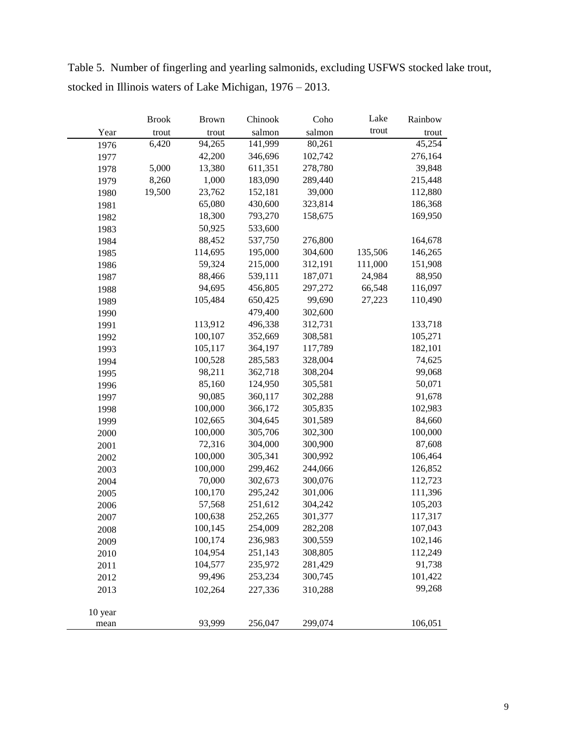|         | <b>Brook</b> | <b>Brown</b> | Chinook | Coho    | Lake    | Rainbow |
|---------|--------------|--------------|---------|---------|---------|---------|
| Year    | trout        | trout        | salmon  | salmon  | trout   | trout   |
| 1976    | 6,420        | 94,265       | 141,999 | 80,261  |         | 45,254  |
| 1977    |              | 42,200       | 346,696 | 102,742 |         | 276,164 |
| 1978    | 5,000        | 13,380       | 611,351 | 278,780 |         | 39,848  |
| 1979    | 8,260        | 1,000        | 183,090 | 289,440 |         | 215,448 |
| 1980    | 19,500       | 23,762       | 152,181 | 39,000  |         | 112,880 |
| 1981    |              | 65,080       | 430,600 | 323,814 |         | 186,368 |
| 1982    |              | 18,300       | 793,270 | 158,675 |         | 169,950 |
| 1983    |              | 50,925       | 533,600 |         |         |         |
| 1984    |              | 88,452       | 537,750 | 276,800 |         | 164,678 |
| 1985    |              | 114,695      | 195,000 | 304,600 | 135,506 | 146,265 |
| 1986    |              | 59,324       | 215,000 | 312,191 | 111,000 | 151,908 |
| 1987    |              | 88,466       | 539,111 | 187,071 | 24,984  | 88,950  |
| 1988    |              | 94,695       | 456,805 | 297,272 | 66,548  | 116,097 |
| 1989    |              | 105,484      | 650,425 | 99,690  | 27,223  | 110,490 |
| 1990    |              |              | 479,400 | 302,600 |         |         |
| 1991    |              | 113,912      | 496,338 | 312,731 |         | 133,718 |
| 1992    |              | 100,107      | 352,669 | 308,581 |         | 105,271 |
| 1993    |              | 105,117      | 364,197 | 117,789 |         | 182,101 |
| 1994    |              | 100,528      | 285,583 | 328,004 |         | 74,625  |
| 1995    |              | 98,211       | 362,718 | 308,204 |         | 99,068  |
| 1996    |              | 85,160       | 124,950 | 305,581 |         | 50,071  |
| 1997    |              | 90,085       | 360,117 | 302,288 |         | 91,678  |
| 1998    |              | 100,000      | 366,172 | 305,835 |         | 102,983 |
| 1999    |              | 102,665      | 304,645 | 301,589 |         | 84,660  |
| 2000    |              | 100,000      | 305,706 | 302,300 |         | 100,000 |
| 2001    |              | 72,316       | 304,000 | 300,900 |         | 87,608  |
| 2002    |              | 100,000      | 305,341 | 300,992 |         | 106,464 |
| 2003    |              | 100,000      | 299,462 | 244,066 |         | 126,852 |
| 2004    |              | 70,000       | 302,673 | 300,076 |         | 112,723 |
| 2005    |              | 100,170      | 295,242 | 301,006 |         | 111,396 |
| 2006    |              | 57,568       | 251,612 | 304,242 |         | 105,203 |
| 2007    |              | 100,638      | 252,265 | 301,377 |         | 117,317 |
| 2008    |              | 100,145      | 254,009 | 282,208 |         | 107,043 |
| 2009    |              | 100,174      | 236,983 | 300,559 |         | 102,146 |
| 2010    |              | 104,954      | 251,143 | 308,805 |         | 112,249 |
| 2011    |              | 104,577      | 235,972 | 281,429 |         | 91,738  |
| 2012    |              | 99,496       | 253,234 | 300,745 |         | 101,422 |
| 2013    |              | 102,264      | 227,336 | 310,288 |         | 99,268  |
|         |              |              |         |         |         |         |
| 10 year |              |              |         |         |         |         |
| mean    |              | 93,999       | 256,047 | 299,074 |         | 106,051 |

Table 5. Number of fingerling and yearling salmonids, excluding USFWS stocked lake trout, stocked in Illinois waters of Lake Michigan, 1976 – 2013.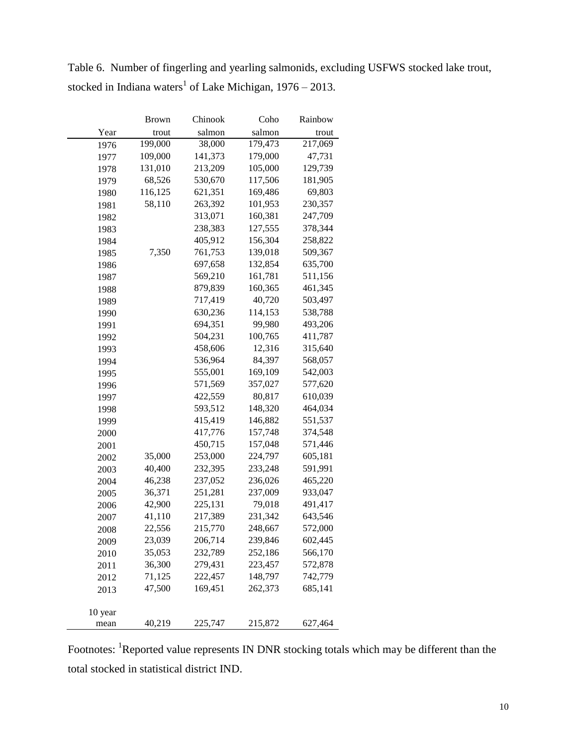|         | Brown   | Chinook | Coho    | Rainbow |
|---------|---------|---------|---------|---------|
| Year    | trout   | salmon  | salmon  | trout   |
| 1976    | 199,000 | 38,000  | 179,473 | 217,069 |
| 1977    | 109,000 | 141,373 | 179,000 | 47,731  |
| 1978    | 131,010 | 213,209 | 105,000 | 129,739 |
| 1979    | 68,526  | 530,670 | 117,506 | 181,905 |
| 1980    | 116,125 | 621,351 | 169,486 | 69,803  |
| 1981    | 58,110  | 263,392 | 101,953 | 230,357 |
| 1982    |         | 313,071 | 160,381 | 247,709 |
| 1983    |         | 238,383 | 127,555 | 378,344 |
| 1984    |         | 405,912 | 156,304 | 258,822 |
| 1985    | 7,350   | 761,753 | 139,018 | 509,367 |
| 1986    |         | 697,658 | 132,854 | 635,700 |
| 1987    |         | 569,210 | 161,781 | 511,156 |
| 1988    |         | 879,839 | 160,365 | 461,345 |
| 1989    |         | 717,419 | 40,720  | 503,497 |
| 1990    |         | 630,236 | 114,153 | 538,788 |
| 1991    |         | 694,351 | 99,980  | 493,206 |
| 1992    |         | 504,231 | 100,765 | 411,787 |
| 1993    |         | 458,606 | 12,316  | 315,640 |
| 1994    |         | 536,964 | 84,397  | 568,057 |
| 1995    |         | 555,001 | 169,109 | 542,003 |
| 1996    |         | 571,569 | 357,027 | 577,620 |
| 1997    |         | 422,559 | 80,817  | 610,039 |
| 1998    |         | 593,512 | 148,320 | 464,034 |
| 1999    |         | 415,419 | 146,882 | 551,537 |
| 2000    |         | 417,776 | 157,748 | 374,548 |
| 2001    |         | 450,715 | 157,048 | 571,446 |
| 2002    | 35,000  | 253,000 | 224,797 | 605,181 |
| 2003    | 40,400  | 232,395 | 233,248 | 591,991 |
| 2004    | 46,238  | 237,052 | 236,026 | 465,220 |
| 2005    | 36,371  | 251,281 | 237,009 | 933,047 |
| 2006    | 42,900  | 225,131 | 79,018  | 491,417 |
| 2007    | 41,110  | 217,389 | 231,342 | 643,546 |
| 2008    | 22,556  | 215,770 | 248,667 | 572,000 |
| 2009    | 23,039  | 206,714 | 239,846 | 602,445 |
| 2010    | 35,053  | 232,789 | 252,186 | 566,170 |
| 2011    | 36,300  | 279,431 | 223,457 | 572,878 |
| 2012    | 71,125  | 222,457 | 148,797 | 742,779 |
| 2013    | 47,500  | 169,451 | 262,373 | 685,141 |
|         |         |         |         |         |
| 10 year |         |         |         |         |
| mean    | 40,219  | 225,747 | 215,872 | 627,464 |

Table 6. Number of fingerling and yearling salmonids, excluding USFWS stocked lake trout, stocked in Indiana waters<sup>1</sup> of Lake Michigan,  $1976 - 2013$ .

Footnotes: <sup>1</sup>Reported value represents IN DNR stocking totals which may be different than the total stocked in statistical district IND.